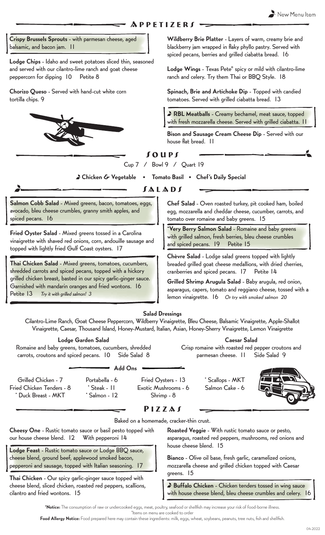### **APPETIZERS**

Crispy Brussels Sprouts - with parmesan cheese, aged balsamic, and bacon jam. 11

Lodge Chips - Idaho and sweet potatoes sliced thin, seasoned and served with our cilantro-lime ranch and goat cheese peppercorn for dipping 10 Petite 8

Chorizo Queso - Served with hand-cut white corn tortilla chips. 9



Wildberry Brie Platter - Layers of warm, creamy brie and blackberry jam wrapped in flaky phyllo pastry. Served with spiced pecans, berries and grilled ciabatta bread. 16

Lodge Wings - Texas Pete® spicy or mild with cilantro-lime ranch and celery. Try them Thai or BBQ Style. 18

Spinach, Brie and Artichoke Dip - Topped with candied tomatoes. Served with grilled ciabatta bread. 13

RBL Meatballs - Creamy bechamel, meat sauce, topped with fresh mozzarella cheese. Served with grilled ciabatta. 11

Bison and Sausage Cream Cheese Dip - Served with our house flat bread. 11

# Soups

Cup 7 / Bowl 9 / Quart 19

Chicken & Vegetable • Tomato Basil • Chef's Daily Special

**SALADS** 

Salmon Cobb Salad - Mixed greens, bacon, tomatoes, eggs, avocado, bleu cheese crumbles, granny smith apples, and spiced pecans. 16

Fried Oyster Salad - Mixed greens tossed in a Carolina vinaigrette with shaved red onions, corn, andouille sausage and topped with lightly fried Gulf Coast oysters. 17

Thai Chicken Salad - Mixed greens, tomatoes, cucumbers, shredded carrots and spiced pecans, topped with a hickory grilled chicken breast, basted in our spicy garlic-ginger sauce. Garnished with mandarin oranges and fried wontons. 16 Petite 13 Try it with grilled salmon! 3

Chef Salad - Oven roasted turkey, pit cooked ham, boiled egg, mozzarella and cheddar cheese, cucumber, carrots, and tomato over romaine and baby greens. 15

\*Very Berry Salmon Salad - Romaine and baby greens with grilled salmon, fresh berries, bleu cheese crumbles and spiced pecans. 19 Petite 15

Chèvre Salad - Lodge salad greens topped with lightly breaded grilled goat cheese medallions, with dried cherries, cranberries and spiced pecans. 17 Petite 14

Grilled Shrimp Arugula Salad - Baby arugula, red onion, asparagus, capers, tomato and reggiano cheese, tossed with a lemon vinaigrette. 16 Or try with smoked salmon 20

Caesar Salad Crisp romaine with roasted red pepper croutons and parmesan cheese. 11 Side Salad 9

Salad Dressings

Cilantro-Lime Ranch, Goat Cheese Peppercorn, Wildberry Vinaigrette, Bleu Cheese, Balsamic Vinaigrette, Apple-Shallot Vinaigrette, Caesar, Thousand Island, Honey-Mustard, Italian, Asian, Honey-Sherry Vinaigrette, Lemon Vinaigrette

### Lodge Garden Salad

Romaine and baby greens, tomatoes, cucumbers, shredded carrots, croutons and spiced pecans. 10 Side Salad 8

#### Add Ons

Grilled Chicken - 7 Fried Chicken Tenders - 8 \* Duck Breast - MKT

Portabella - 6 Steak - 11 \* Salmon - 12

Fried Oysters - 13 Exotic Mushrooms - 6 Shrimp - 8



Pizzas

Baked on a homemade, cracker-thin crust.

Cheesy One - Rustic tomato sauce or basil pesto topped with our house cheese blend. 12 With pepperoni 14

Lodge Feast - Rustic tomato sauce or Lodge BBQ sauce, cheese blend, ground beef, applewood smoked bacon, pepperoni and sausage, topped with Italian seasoning. 17

Thai Chicken - Our spicy garlic-ginger sauce topped with cheese blend, sliced chicken, roasted red peppers, scallions, cilantro and fried wontons. 15

Roasted Veggie - With rustic tomato sauce or pesto, asparagus, roasted red peppers, mushrooms, red onions and house cheese blend. 15

Bianco - Olive oil base, fresh garlic, caramelized onions, mozzarella cheese and grilled chicken topped with Caesar greens. 15

Buffalo Chicken - Chicken tenders tossed in wing sauce with house cheese blend, bleu cheese crumbles and celery. 16

\*Notice: The consumption of raw or undercooked eggs, meat, poultry, seafood or shellfish may increase your risk of food-borne illness.

\*Items on menu are cooked to order

Food Allergy Notice: Food prepared here may contain these ingredients: milk, eggs, wheat, soybeans, peanuts, tree nuts, fish and shellfish.